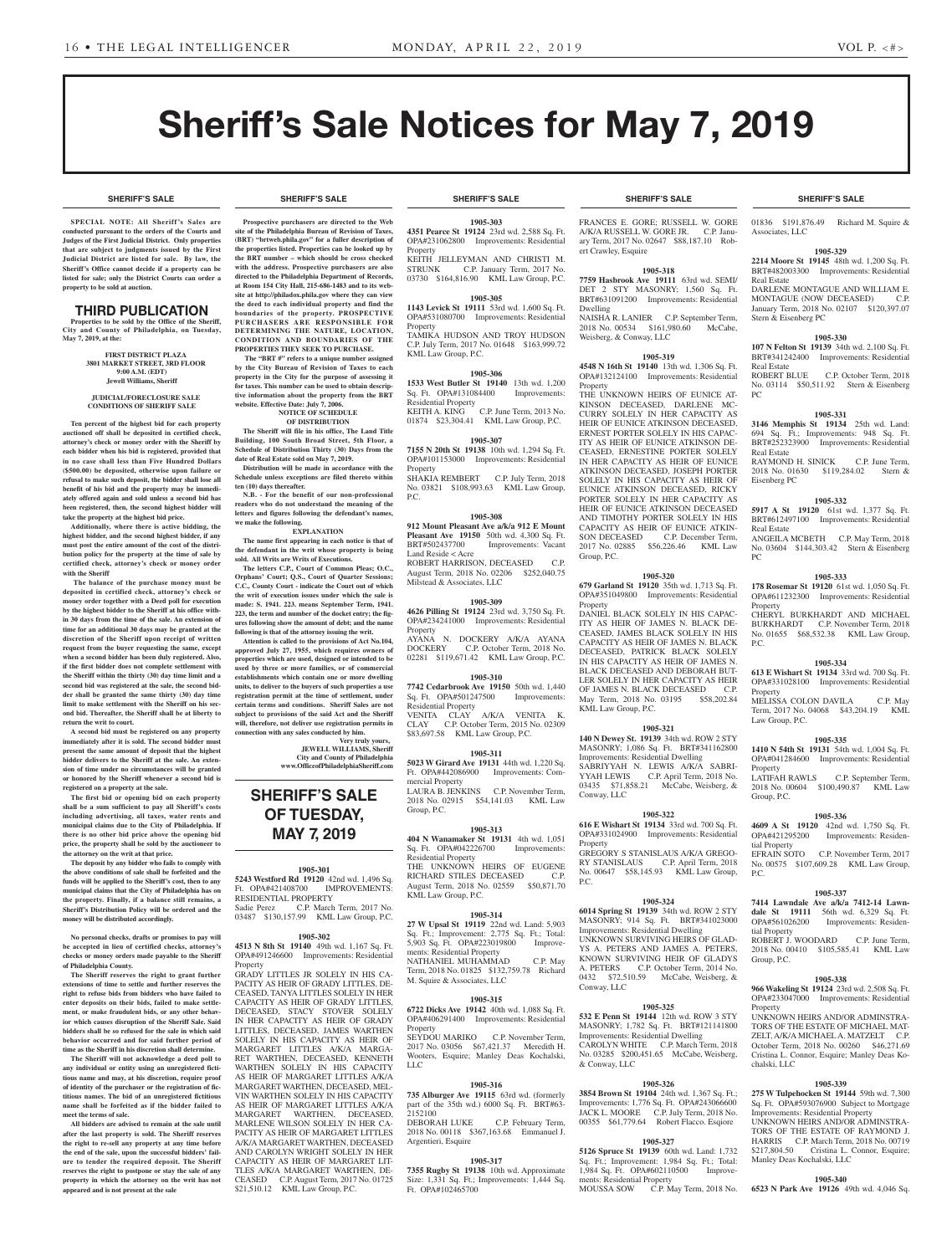**SHERIFF'S SALE SHERIFF'S SALE SHERIFF'S SALE SHERIFF'S SALE SHERIFF'S SALE**

## Sheriff's Sale Notices for May 7, 2019

**SPECIAL NOTE: All Sheriff 's Sales are conducted pursuant to the orders of the Courts and Judges of the First Judicial District. Only properties that are subject to judgments issued by the First Judicial District are listed for sale. By law, the Sheriff's Office cannot decide if a property can be listed for sale; only the District Courts can order a property to be sold at auction.** 

## THIRD PUBLICATION

**Properties to be sold by the Office of the Sheriff, City and County of Philadelphia, on Tuesday,**  May 7, 2019, at the

> **FIRST DISTRICT PLAZA 3801 MARKET STREET, 3RD FLOOR 9:00 A.M. (EDT) Jewell Williams, Sheriff**

#### **JUDICIAL/FORECLOSURE SALE CONDITIONS OF SHERIFF SALE**

**Ten percent of the highest bid for each property auctioned off shall be deposited in certified check, attorney's check or money order with the Sheriff by each bidder when his bid is registered, provided that in no case shall less than Five Hundred Dollars (\$500.00) be deposited, otherwise upon failure or refusal to make such deposit, the bidder shall lose all benefit of his bid and the property may be immediately offered again and sold unless a second bid has been registered, then, the second highest bidder will take the property at the highest bid price.**

**Additionally, where there is active bidding, the highest bidder, and the second highest bidder, if any must post the entire amount of the cost of the distribution policy for the property at the time of sale by certified check, attorney's check or money order with the Sheriff**

 **The balance of the purchase money must be deposited in certified check, attorney's check or money order together with a Deed poll for execution by the highest bidder to the Sheriff at his office within 30 days from the time of the sale. An extension of time for an additional 30 days may be granted at the discretion of the Sheriff upon receipt of written request from the buyer requesting the same, except when a second bidder has been duly registered. Also, if the first bidder does not complete settlement with the Sheriff within the thirty (30) day time limit and a second bid was registered at the sale, the second bidder shall be granted the same thirty (30) day time limit to make settlement with the Sheriff on his second bid. Thereafter, the Sheriff shall be at liberty to return the writ to court.**

**A second bid must be registered on any property immediately after it is sold. The second bidder must present the same amount of deposit that the highest bidder delivers to the Sheriff at the sale. An extension of time under no circumstances will be granted or honored by the Sheriff whenever a second bid is registered on a property at the sale.** 

**The first bid or opening bid on each property shall be a sum sufficient to pay all Sheriff's costs including advertising, all taxes, water rents and municipal claims due to the City of Philadelphia. If there is no other bid price above the opening bid price, the property shall be sold by the auctioneer to the attorney on the writ at that price.**

**The deposit by any bidder who fails to comply with the above conditions of sale shall be forfeited and the funds will be applied to the Sheriff's cost, then to any municipal claims that the City of Philadelphia has on the property. Finally, if a balance still remains, a Sheriff's Distribution Policy will be ordered and the money will be distributed accordingly.**

**No personal checks, drafts or promises to pay will be accepted in lieu of certified checks, attorney's checks or money orders made payable to the Sheriff of Philadelphia County.**

**The Sheriff reserves the right to grant further extensions of time to settle and further reserves the right to refuse bids from bidders who have failed to enter deposits on their bids, failed to make settlement, or make fraudulent bids, or any other behavior which causes disruption of the Sheriff Sale. Said bidders shall be so refused for the sale in which said behavior occurred and for said further period of time as the Sheriff in his discretion shall determine.**

**The Sheriff will not acknowledge a deed poll to any individual or entity using an unregistered fictitious name and may, at his discretion, require proof of identity of the purchaser or the registration of fictitious names. The bid of an unregistered fictitious name shall be forfeited as if the bidder failed to meet the terms of sale.**

**All bidders are advised to remain at the sale until after the last property is sold. The Sheriff reserves the right to re-sell any property at any time before the end of the sale, upon the successful bidders' failure to tender the required deposit. The Sheriff reserves the right to postpone or stay the sale of any property in which the attorney on the writ has not appeared and is not present at the sale**

**Prospective purchasers are directed to the Web site of the Philadelphia Bureau of Revision of Taxes, (BRT) "brtweb.phila.gov" for a fuller description of the properties listed. Properties can be looked up by the BRT number – which should be cross checked with the address. Prospective purchasers are also directed to the Philadelphia Department of Records, at Room 154 City Hall, 215-686-1483 and to its website at http://philadox.phila.gov where they can view the deed to each individual property and find the boundaries of the property. PROSPECTIVE PURCHASERS ARE RESPONSIBLE FOR DETERMINING THE NATURE, LOCATION, CONDITION AND BOUNDARIES OF THE** 

**PROPERTIES THEY SEEK TO PURCHASE. The "BRT #" refers to a unique number assigned by the City Bureau of Revision of Taxes to each property in the City for the purpose of assessing it for taxes. This number can be used to obtain descriptive information about the property from the BRT website. Effective Date: July 7, 2006.**

#### **NOTICE OF SCHEDULE OF DISTRIBUTION**

**The Sheriff will file in his office, The Land Title Building, 100 South Broad Street, 5th Floor, a Schedule of Distribution Thirty (30) Days from the date of Real Estate sold on May 7, 2019. Distribution will be made in accordance with the** 

**Schedule unless exceptions are filed thereto within ten (10) days thereafter.**

**N.B. - For the benefit of our non-professional readers who do not understand the meaning of the letters and figures following the defendant's names, we make the following.**

**EXPLANATION**

**The name first appearing in each notice is that of the defendant in the writ whose property is being sold. All Writs are Writs of Executions.**

**The letters C.P., Court of Common Pleas; O.C., Orphans' Court; Q.S., Court of Quarter Sessions; C.C., County Court - indicate the Court out of which the writ of execution issues under which the sale is made: S. 1941. 223. means September Term, 1941. 223, the term and number of the docket entry; the figures following show the amount of debt; and the name following is that of the attorney issuing the writ.**

**Attention is called to the provisions of Act No.104, approved July 27, 1955, which requires owners of properties which are used, designed or intended to be used by three or more families, or of commercial establishments which contain one or more dwelling units, to deliver to the buyers of such properties a use registration permit at the time of settlement, under certain terms and conditions. Sheriff Sales are not subject to provisions of the said Act and the Sheriff will, therefore, not deliver use registration permits in connection with any sales conducted by him.**

**Very truly yours, JEWELL WILLIAMS, Sheriff City and County of Philadelphia www.OfficeofPhiladelphiaSheriff.com**

## **SHERIFF'S SALE OF TUESDAY, MAY 7, 2019**

#### **1905-301**

**5243 Westford Rd 19120** 42nd wd. 1,496 Sq. Ft. OPA#421408700 RESIDENTIAL PROPERTY Sadie Perez C.P. March Term, 2017 No. 03487 \$130,157.99 KML Law Group, P.C.

#### **1905-302**

**4513 N 8th St 19140** 49th wd. 1,167 Sq. Ft. OPA#491246600 Improvements: Residential Property

GRADY LITTLES JR SOLELY IN HIS CA-PACITY AS HEIR OF GRADY LITTLES, DE-CEASED, TANYA LITTLES SOLELY IN HER CAPACITY AS HEIR OF GRADY LITTLES, DECEASED, STACY STOVER SOLELY IN HER CAPACITY AS HEIR OF GRADY LITTLES, DECEASED, JAMES WARTHEN SOLELY IN HIS CAPACITY AS HEIR OF MARGARET LITTLES A/K/A MARGA-RET WARTHEN, DECEASED, KENNETH WARTHEN SOLELY IN HIS CAPACITY AS HEIR OF MARGARET LITTLES A/K/A MARGARET WARTHEN, DECEASED, MEL-VIN WARTHEN SOLELY IN HIS CAPACITY AS HEIR OF MARGARET LITTLES A/K/A MARGARET WARTHEN, DECEASED, MARCHAET MARTIEN, BECEASED, PACITY AS HEIR OF MARGARET LITTLES A/K/A MARGARET WARTHEN, DECEASED AND CAROLYN WRIGHT SOLELY IN HER CAPACITY AS HEIR OF MARGARET LIT-TLES A/K/A MARGARET WARTHEN, DE-CEASED C.P. August Term, 2017 No. 01725 \$21,510.12 KML Law Group, P.C.

#### **SHERIFF'S SALE SHERIFF'S SALE SHERIFF'S SALE SHERIFF'S SALE SHERIFF'S SALE**

**1905-303 4351 Pearce St 19124** 23rd wd. 2,588 Sq. Ft. OPA#231062800 Improvements: Residential Property

KEITH JELLEYMAN AND CHRISTI M. STRUNK C.P. January Term, 2017 No. 03730 \$164,816.90 KML Law Group, P.C.

#### **1905-305 1143 Levick St 19111** 53rd wd. 1,600 Sq. Ft.

OPA#531080700 Improvements: Residential **Property** TAMIKA HUDSON AND TROY HUDSON C.P. July Term, 2017 No. 01648 \$163,999.72 KML Law Group, P.C.

#### **1905-306**

**1533 West Butler St 19140** 13th wd. 1,200 Sq. Ft. OPA#131084400 Improvements: Residential Property C.P. June Term, 2013 No. 01874 \$23,304.41 KML Law Group, P.C.

#### **1905-307**

P.C.

**7155 N 20th St 19138** 10th wd. 1,294 Sq. Ft. OPA#101153000 Improvements: Residential **Property** SHAKIA REMBERT C.P. July Term, 2018 No. 03821 \$108,993.63 KML Law Group,

**1905-308 912 Mount Pleasant Ave a/k/a 912 E Mount Pleasant Ave 19150** 50th wd. 4,300 Sq. Ft.<br>BRT#502437700 Improvements: Vacant

Improvements: Vacant Land Reside < Acre ROBERT HARRISON, DECEASED C.P.

August Term, 2018 No. 02206 \$252,040.75 Milstead & Associates, LLC

#### **1905-309**

**4626 Pilling St 19124** 23rd wd. 3,750 Sq. Ft. OPA#234241000 Improvements: Residential Property

AYANA N. DOCKERY A/K/A AYANA<br>DOCKERY C.P. October Term, 2018 No. C.P. October Term, 2018 No. 02281 \$119,671.42 KML Law Group, P.C.

#### **1905-310 7742 Cedarbrook Ave 19150** 50th wd. 1,440

Sq. Ft. OPA#501247500 Improvements: Residential Property VENITA CLAY A/K/A VENITA K. CLAY C.P. October Term, 2015 No. 02309

\$83,697.58 KML Law Group, P.C.

## **1905-311**

**5023 W Girard Ave 19131** 44th wd. 1,220 Sq. Ft. OPA#442086900 Improvements: Commercial Property LAURA B. JENKINS C.P. November Term, 2018 No. 02915 \$54,141.03 KML Law Group, P.C.

#### **1905-313**

**404 N Wanamaker St 19131** 4th wd. 1,051 Sq. Ft. OPA#042226700 Improvements: Residential Property THE UNKNOWN HEIRS OF EUGENE RICHARD STILES DECEASED C.P. August Term, 2018 No. 02559 \$50,871.70 KML Law Group, P.C.

#### **1905-314**

**27 W Upsal St 19119** 22nd wd. Land: 5,903 Ft.; Improvement: 2,775 Sq. Ft.; Total: 5,903 Sq. Ft. OPA#223019800 Improvements: Residential Property NATHANIEL MUHAMMAD C.P. May Term, 2018 No. 01825 \$132,759.78 Richard M. Squire & Associates, LLC

#### **1905-315**

**6722 Dicks Ave 19142** 40th wd. 1,088 Sq. Ft. OPA#406291400 Improvements: Residential Property

SEYDOU MARIKO C.P. November Term<br>2017 No. 03056 \$67,421.37 Meredith H 2017 No. 03056 \$67,421.37 Meredith H. Wooters, Esquire; Manley Deas Kochalski, LLC

#### **1905-316**

**735 Alburger Ave 19115** 63rd wd. (formerly part of the 35th wd.) 6000 Sq. Ft. BRT#63-

2152100<br>DEBORAH LUKE C.P. February Term, 2018 No. 00118 \$367,163.68 Emmanuel J. Argentieri, Esquire

#### **1905-317**

**7355 Rugby St 19138** 10th wd. Approximate Size: 1,331 Sq. Ft.; Improvements: 1,444 Sq. Ft. OPA#102465700

FRANCES E. GORE; RUSSELL W. GORE A/K/A RUSSELL W. GORE JR. C.P. January Term, 2017 No. 02647 \$88,187.10 Robert Crawley, Esquire

#### **1905-318**

**7759 Hasbrook Ave 19111** 63rd wd. SEMI/ DET 2 STY MASONRY; 1,560 Sq. Ft. BRT#631091200 Improvements: Residential Dwelling NAISHA R. LANIER C.P. September Term,<br>2018 No. 00534 \$161,980.60 McCabe,

2018 No. 00534  $$161,980.60$ Weisberg, & Conway, LLC

#### **1905-319**

**4548 N 16th St 19140** 13th wd. 1,306 Sq. Ft. OPA#132124100 Improvements: Residential Property

THE UNKNOWN HEIRS OF EUNICE AT-KINSON DECEASED, DARLENE MC-CURRY SOLELY IN HER CAPACITY AS HEIR OF EUNICE ATKINSON DECEASED, ERNEST PORTER SOLELY IN HIS CAPAC-ITY AS HEIR OF EUNICE ATKINSON DE-CEASED, ERNESTINE PORTER SOLELY IN HER CAPACITY AS HEIR OF EUNICE ATKINSON DECEASED, JOSEPH PORTER SOLELY IN HIS CAPACITY AS HEIR OF EUNICE ATKINSON DECEASED, RICKY PORTER SOLELY IN HER CAPACITY AS HEIR OF EUNICE ATKINSON DECEASED AND TIMOTHY PORTER SOLELY IN HIS CAPACITY AS HEIR OF EUNICE ATKIN-<br>SON DECEASED C.P. December Term, C.P. December Term, 2017 No. 02885 \$56,226.46 KML Law Group, P.C.

#### **1905-320**

**679 Garland St 19120** 35th wd. 1,713 Sq. Ft. OPA#351049800 Improvements: Residential Property DANIEL BLACK SOLELY IN HIS CAPAC-ITY AS HEIR OF JAMES N. BLACK DE-

CEASED, JAMES BLACK SOLELY IN HIS CAPACITY AS HEIR OF JAMES N. BLACK DECEASED, PATRICK BLACK SOLELY IN HIS CAPACITY AS HEIR OF JAMES N. BLACK DECEASED AND DEBORAH BUT-LER SOLELY IN HER CAPACITY AS HEIR OF JAMES N. BLACK DECEASED May Term, 2018 No. 03195 \$58,202.84 KML Law Group, P.C.

#### **1905-321 140 N Dewey St. 19139** 34th wd. ROW 2 STY

MASONRY; 1,086 Sq. Ft. BRT#341162800 Improvements: Residential Dwelling SABRIYYAH N. LEWIS A/K/A SABRI-YYAH LEWIS C.P. April Term. 2018 No. C.P. April Term, 2018 No. 03435 \$71,858.21 McCabe, Weisberg, & Conway, LLC

#### **1905-322**

**616 E Wishart St 19134** 33rd wd. 700 Sq. Ft. OPA#331024900 Improvements: Residential Property GREGORY S STANISLAUS A/K/A GREGO-RY STANISLAUS C.P. April Term, 2018

No. 00647 \$58,145.93 KML Law Group, P.C.

## **1905-324**

**6014 Spring St 19139** 34th wd. ROW 2 STY MASONRY; 914 Sq. Ft. BRT#341023000 Improvements: Residential Dwelling UNKNOWN SURVIVING HEIRS OF GLAD-YS A. PETERS AND JAMES A. PETERS, KNOWN SURVIVING HEIR OF GLADYS A. PETERS C.P. October Term, 2014 No. 0432 \$72,510.59 McCabe, Weisberg, & Conway, LLC

#### **1905-325**

**532 E Penn St 19144** 12th wd. ROW 3 STY MASONRY; 1,782 Sq. Ft. BRT#121141800 Improvements: Residential Dwelling  $C$ AROLYN WHITE  $C$  P. March No. 03285 \$200,451.65 McCabe, Weisberg, & Conway, LLC

#### **1905-326**

**3854 Brown St 19104** 24th wd. 1,367 Sq. Ft.; Improvements: 1,776 Sq. Ft. OPA#243066600 JACK L. MOORE C.P. July Term, 2018 No. 00355 \$61,779.64 Robert Flacco. Esqiore

#### **1905-327**

**5126 Spruce St 19139** 60th wd. Land: 1,732 Sq. Ft.; Improvement: 1,984 Sq. Ft.; Total:<br>1,984 Sq. Ft. OPA#602110500 Improve-1,984 Sq. Ft. OPA#602110500 ments: Residential Property MOUSSA SOW C.P. May Term, 2018 No.

01836 \$191,876.49 Richard M. Squire & Associates, LLC

#### **1905-329**

**2214 Moore St 19145** 48th wd. 1,200 Sq. Ft. BRT#482003300 Improvements: Residential Real Estate DARLENE MONTAGUE AND WILLIAM E.

MONTAGUE (NOW DECEASED) C.P. January Term, 2018 No. 02107 \$120,397.07 Stern & Eisenberg PC

No. 03114 \$50,511.92 Stern & Eisenberg

**1905-331 3146 Memphis St 19134** 25th wd. Land: 694 Sq. Ft.; Improvements: 948 Sq. Ft. BRT#252323900 Improvements: Residential

RAYMOND H. SINICK C.P. June Term, 2018 No. 01630 \$119,284.02 Stern &

**1905-332 5917 A St 19120** 61st wd. 1,377 Sq. Ft. BRT#612497100 Improvements: Residential

ANGEILA MCBETH C.P. May Term, 2018 No. 03604 \$144,303.42 Stern & Eisenberg

**1905-333 178 Rosemar St 19120** 61st wd. 1,050 Sq. Ft. OPA#611232300 Improvements: Residential

CHERYL BURKHARDT AND MICHAEL BURKHARDT C.P. November Term, 2018 No. 01655 \$68,532.38 KML Law Group,

**1905-334 613 E Wishart St 19134** 33rd wd. 700 Sq. Ft. OPA#331028100 Improvements: Residential

MELISSA COLON DAVILA C.P. May Term, 2017 No. 04068 \$43,204.19 KML

**1905-335 1410 N 54th St 19131** 54th wd. 1,004 Sq. Ft. OPA#041284600 Improvements: Residential

2018 No. 00604 \$100,490.87 KML Law

**1905-336 4609 A St 19120** 42nd wd. 1,750 Sq. Ft. OPA#421295200 Improvements: Residen-

EFRAIN SOTO C.P. November Term, 2017 No. 00575 \$107,609.28 KML Law Group,

**1905-337 7414 Lawndale Ave a/k/a 7412-14 Lawndale St 19111** 56th wd. 6,329 Sq. Ft. OPA#561026200 Improvements: Residen-

ROBERT J. WOODARD C.P. June Term, 2018 No. 00410 \$105,585.41 KML Law

**1905-338 966 Wakeling St 19124** 23rd wd. 2,508 Sq. Ft. OPA#233047000 Improvements: Residential

UNKNOWN HEIRS AND/OR ADMINSTRA-TORS OF THE ESTATE OF MICHAEL MAT-ZELT, A/K/A MICHAEL A. MATZELT C.P.

Cristina L. Connor, Esquire; Manley Deas Ko-

**1905-339 275 W Tulpehocken St 19144** 59th wd. 7,300 Sq. Ft. OPA#593076900 Subject to Mortgage Improvements: Residential Property UNKNOWN HEIRS AND/OR ADMINSTRA-TORS OF THE ESTATE OF RAYMOND J. HARRIS C.P. March Term, 2018 No. 00719 \$217,804.50 Cristina L. Connor, Esquire;

**1905-340 6523 N Park Ave 19126** 49th wd. 4,046 Sq.

ortober Term, 2018 No. 00260

Manley Deas Kochalski, LLC

C.P. September Term,

C.P. October Term, 2018

#### **1905-330 107 N Felton St 19139** 34th wd. 2,100 Sq. Ft. BRT#341242400 Improvements: Residential

Real Estate<br>ROBERT BLUE

PC

Real Estate

Eisenberg PC

Real Estate

PC

Property

P.C.

Property

Law Group, P.C.

Property<br>LATIFAH RAWLS

Group, P.C.

tial Property

tial Property

Group, P.C.

Property

chalski, LLC

P.C.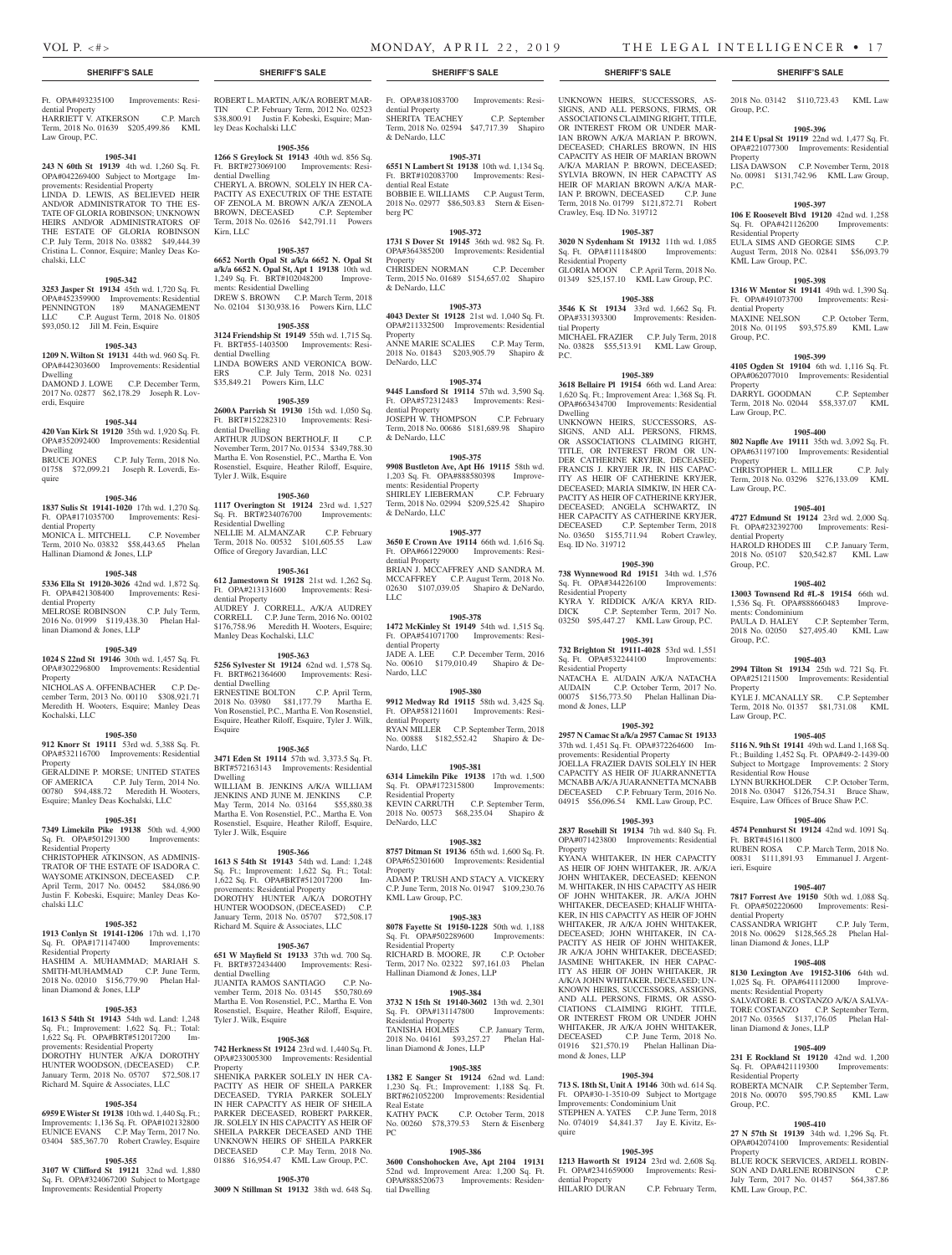Group, P.C.

Property

Residential Property

dential Property

Group, P.C.

Property

Property

Law Group, P.C.

Law Group, P.C.

dential Property

Group, P.C.

Property

Law Group, P.C.

Residential Row House

Ft. BRT#451611800

ieri, Esquire

dential Property

linan Diamond & Jones, LLP

ments: Residential Property

linan Diamond & Jones, LLP

Residential Property

KML Law Group, P.C.

Group, P.C.

**Property** 

KML Law Group, P.C.

P.C.

2018 No. 03142 \$110,723.43 KML Law

**1905-396 214 E Upsal St 19119** 22nd wd. 1,477 Sq. Ft. OPA#221077300 Improvements: Residential

LISA DAWSON C.P. November Term, 2018 No. 00981 \$131,742.96 KML Law Group,

**1905-397 106 E Roosevelt Blvd 19120** 42nd wd. 1,258 Sq. Ft. OPA#421126200 Improvements:

EULA SIMS AND GEORGE SIMS C.P. August Term, 2018 No. 02841 \$56,093.79

**1905-398 1316 W Mentor St 19141** 49th wd. 1,390 Sq. Ft. OPA#491073700 Improvements: Resi-

MAXINE NELSON C.P. October Term, 2018 No. 01195 \$93,575.89 KML Law

**1905-399 4105 Ogden St 19104** 6th wd. 1,116 Sq. Ft. OPA#062077010 Improvements: Residential

DARRYL GOODMAN C.P. September Term, 2018 No. 02044 \$58,337.07 KML

**1905-400 802 Napfle Ave 19111** 35th wd. 3,092 Sq. Ft. OPA#631197100 Improvements: Residential

CHRISTOPHER L. MILLER C.P. July Term, 2018 No. 03296 \$276,133.09 KML

**1905-401 4727 Edmund St 19124** 23rd wd. 2,000 Sq. Ft. OPA#232392700 Improvements: Resi-

HAROLD RHODES III C.P. January Term, 2018 No. 05107 \$20,542.87 KML Law

**1905-402 13003 Townsend Rd #L-8 19154** 66th wd.<br>1,536 Sq. Ft. OPA#888660483 Improve-1,536 Sq. Ft. OPA#888660483 Improve-ments: Condominium PAULA D. HALEY C.P. September Term, 2018 No. 02050 \$27,495.40 KML Law mento. Concommunity<br>PAULA D. HALEY C.P. September Term,<br>2018 No. 02050 \$27,495.40 KML Law<br>Group, P.C.

**1905-403 2994 Tilton St 19134** 25th wd. 721 Sq. Ft. OPA#251211500 Improvements: Residential

KYLE J. MCANALLY SR. C.P. September Term, 2018 No. 01357 \$81,731.08 KML

**1905-405 5116 N. 9th St 19141** 49th wd. Land 1,168 Sq. Ft.; Building 1,452 Sq. Ft. OPA#49-2-1439-00 Subject to Mortgage Improvements: 2 Story

LYNN BURKHOLDER C.P. October Term, 2018 No. 03047 \$126,754.31 Bruce Shaw, Esquire, Law Offices of Bruce Shaw P.C. **1905-406 4574 Pennhurst St 19124** 42nd wd. 1091 Sq.

RUBEN ROSA C.P. March Term, 2018 No. 00831 \$111,891.93 Emmanuel J. Argent-

**1905-407 7817 Forrest Ave 19150** 50th wd. 1,088 Sq. Ft. OPA#502220600 Improvements: Resi-

CASSANDRA WRIGHT C.P. July Term, 2018 No. 00629 \$128,565.28 Phelan Hal-

**1905-408 8130 Lexington Ave 19152-3106** 64th wd. 1,025 Sq. Ft. OPA#641112000 Improve-

SALVATORE B. COSTANZO A/K/A SALVA-TORE COSTANZO C.P. September Term, 2017 No. 03565 \$137,176.05 Phelan Hal-

**1905-409 231 E Rockland St 19120** 42nd wd. 1,200 Sq. Ft. OPA#421119300 Improvements:

ROBERTA MCNAIR C.P. September Term, 2018 No. 00070 \$95,790.85 KML Law

**1905-410 27 N 57th St 19139** 34th wd. 1,296 Sq. Ft. OPA#042074100 Improvements: Residential

BLUE ROCK SERVICES, ARDELL ROBIN-SON AND DARLENE ROBINSON C.P. July Term, 2017 No. 01457 \$64,387.86

#### **SHERIFF'S SALE SHERIFF'S SALE SHERIFF'S SALE SHERIFF'S SALE SHERIFF'S SALE**

Ft. OPA#493235100 Improvements: Residential Property HARRIETT V. ATKERSON C.P. March

Term, 2018 No. 01639 \$205,499.86 KML Law Group, P.C.

#### **1905-341**

**243 N 60th St 19139** 4th wd. 1,260 Sq. Ft. OPA#042269400 Subject to Mortgage Improvements: Residential Property LINDA D. LEWIS, AS BELIEVED HEIR AND/OR ADMINISTRATOR TO THE ES-TATE OF GLORIA ROBINSON; UNKNOWN HEIRS AND/OR ADMINISTRATORS OF THE ESTATE OF GLORIA ROBINSON C.P. July Term, 2018 No. 03882 \$49,444.39 Cristina L. Connor, Esquire; Manley Deas Kochalski, LLC

#### **1905-342**

**3253 Jasper St 19134** 45th wd. 1,720 Sq. Ft. OPA#452359900 Improvements: Residential PENNINGTON 189 MANAGEMENT LLC C.P. August Term, 2018 No. 01805 \$93,050.12 Jill M. Fein, Esquire

#### **1905-343**

**1209 N. Wilton St 19131** 44th wd. 960 Sq. Ft. OPA#442303600 Improvements: Residential Dwelling DAMOND J. LOWE C.P. December Term,

2017 No. 02877 \$62,178.29 Joseph R. Loverdi, Esquire

## **1905-344**

**420 Van Kirk St 19120** 35th wd. 1,920 Sq. Ft. OPA#352092400 Improvements: Residential Dwelling BRUCE JONES C.P. July Term, 2018 No.

01758 \$72,099.21 Joseph R. Loverdi, Esquire

#### **1905-346**

**1837 Sulis St 19141-1020** 17th wd. 1,270 Sq. Ft. OPA#171035700 Improvements: Residential Property MONICA L. MITCHELL C.P. November Term, 2010 No. 03832 \$58,443.65 Phelan Hallinan Diamond & Jones, LLP

#### **1905-348**

**5336 Ella St 19120-3026** 42nd wd. 1,872 Sq. Ft. OPA#421308400 Improvements: Residential Property MELROSE ROBINSON C.P. July Term,

2016 No. 01999 \$119,438.30 Phelan Hallinan Diamond & Jones, LLP

#### **1905-349**

**1024 S 22nd St 19146** 30th wd. 1,457 Sq. Ft. OPA#302296800 Improvements: Residential **Property** 

NICHOLAS A. OFFENBACHER C.P. December Term, 2013 No. 00110 \$308,921.71 Meredith H. Wooters, Esquire; Manley Deas Kochalski, LLC

#### **1905-350**

**912 Knorr St 19111** 53rd wd. 5,388 Sq. Ft. OPA#532116700 Improvements: Residential Property GERALDINE P. MORSE; UNITED STATES OF AMERICA C.P. July Term, 2014 No. 00780 \$94,488.72 Meredith H. Wooters, Esquire; Manley Deas Kochalski, LLC

#### **1905-351**

**7349 Limekiln Pike 19138** 50th wd. 4,900 Sq. Ft. OPA#501291300 Improvements: Residential Property

CHRISTOPHER ATKINSON, AS ADMINIS-TRATOR OF THE ESTATE OF ISADORA C. WAYSOME ATKINSON, DECEASED C.P. April Term, 2017 No. 00452 \$84,086.90 Justin F. Kobeski, Esquire; Manley Deas Kochalski LLC

#### **1905-352**

**1913 Conlyn St 19141-1206** 17th wd. 1,170<br>Sq. Ft. OPA#171147400 Improvements: Sq. Ft. OPA#171147400 Improvements: Residential Property HASHIM A. MUHAMMAD; MARIAH S. SMITH-MUHAMMAD C.P. June Term, 2018 No. 02010 \$156,779.90 Phelan Hallinan Diamond & Jones, LLP

#### **1905-353**

**1613 S 54th St 19143** 54th wd. Land: 1,248 Sq. Ft.; Improvement: 1,622 Sq. Ft.; Total: 1,622 Sq. Ft. OPA#BRT#512017200 Improvements: Residential Property DOROTHY HUNTER A/K/A DOROTHY HUNTER WOODSON, (DECEASED) C.P. January Term, 2018 No. 05707 \$72,508.17 Richard M. Squire & Associates, LLC

#### **1905-354**

**6959 E Wister St 19138** 10th wd. 1,440 Sq. Ft.; Improvements: 1,136 Sq. Ft. OPA#102132800 EUNICE EVANS C.P. May Term, 2017 No. 03404 \$85,367.70 Robert Crawley, Esquire

## **1905-355**

**3107 W Clifford St 19121** 32nd wd. 1,880 Sq. Ft. OPA#324067200 Subject to Mortgage Improvements: Residential Property

ROBERT L. MARTIN, A/K/A ROBERT MAR-TIN C.P. February Term, 2012 No. 02523 \$38,800.91 Justin F. Kobeski, Esquire; Manley Deas Kochalski LLC

#### **1905-356**

**1266 S Greylock St 19143** 40th wd. 856 Sq. Ft. BRT#273069100 Improvements: Residential Dwelling CHERYL A. BROWN, SOLELY IN HER CA-

PACITY AS EXECUTRIX OF THE ESTATE OF ZENOLA M. BROWN A/K/A ZENOLA BROWN, DECEASED C.P. September Term, 2018 No. 02616 \$42,791.11 Powers Kirn, LLC

#### **1905-357**

**6652 North Opal St a/k/a 6652 N. Opal St a/k/a 6652 N. Opal St, Apt 1 19138** 10th wd.<br>1,249 Sq. Ft. BRT#102048200 Improve-1,249 Sq. Ft. BRT#102048200 ments: Residential Dwelling DREW S. BROWN C.P. March Term, 2018 No. 02104 \$130,938.16 Powers Kirn, LLC

## **1905-358**

**3124 Friendship St 19149** 55th wd. 1,715 Sq. Ft. BRT#55-1403500 Improvements: Residential Dwelling LINDA BOWERS AND VERONICA BOW-ERS C.P. July Term, 2018 No. 0231 \$35,849.21 Powers Kirn, LLC

## **1905-359**

**2600A Parrish St 19130** 15th wd. 1,050 Sq. Ft. BRT#152282310 Improvements: Residential Dwelling ARTHUR JUDSON BERTHOLF, II C.P. November Term, 2017 No. 01534 \$349,788.30 Martha E. Von Rosenstiel, P.C., Martha E. Von Rosenstiel, Esquire, Heather Riloff, Esquire, Tyler J. Wilk, Esquire

#### **1905-360**

**1117 Overington St 19124** 23rd wd. 1,527 Sq. Ft. BRT#234076700 Improvements: Residential Dwelling NELLIE M. ALMANZAR C.P. February Term, 2018 No. 00532 \$101,605.55 Law

Office of Gregory Javardian, LLC

## **1905-361**

**612 Jamestown St 19128** 21st wd. 1,262 Sq. Ft. OPA#213131600 Improvements: Residential Property AUDREY J. CORRELL, A/K/A AUDREY CORRELL C.P. June Term, 2016 No. 00102 \$176,758.96 Meredith H. Wooters, Esquire; Manley Deas Kochalski, LLC

#### **1905-363**

**5256 Sylvester St 19124** 62nd wd. 1,578 Sq. Ft. BRT#621364600 Improvements: Residential Dwelling<br>ERNESTINE BOLTON C.P. April Term, 2018 No. 03980 \$81,177.79 Martha E. Von Rosenstiel, P.C., Martha E. Von Rosenstiel, Esquire, Heather Riloff, Esquire, Tyler J. Wilk, Esquire

#### **1905-365**

**3471 Eden St 19114** 57th wd. 3,373.5 Sq. Ft. BRT#572163143 Improvements: Residential Dwelling

WILLIAM B. JENKINS A/K/A WILLIAM JENKINS AND JUNE M. JENKINS C.P. May Term, 2014 No. 03164 \$55,880.38 Martha E. Von Rosenstiel, P.C., Martha E. Von Rosenstiel, Esquire, Heather Riloff, Esquire, Tyler J. Wilk, Esquire

#### **1905-366**

**1613 S 54th St 19143** 54th wd. Land: 1,248 Sq. Ft.; Improvement: 1,622 Sq. Ft.; Total: 1,622 Sq. Ft. OPA#BRT#512017200 Improvements: Residential Property DOROTHY HUNTER A/K/A DOROTHY HUNTER WOODSON, (DECEASED) C.P. January Term, 2018 No. 05707 \$72,508.17 Richard M. Squire & Associates, LLC

#### **1905-367**

**651 W Mayfield St 19133** 37th wd. 700 Sq. Ft. BRT#372434400 Improvements: Residential Dwelling

JUANITA RAMOS SANTIAGO C.P. November Term, 2018 No. 03145 \$50,780.69 Martha E. Von Rosenstiel, P.C., Martha E. Von Rosenstiel, Esquire, Heather Riloff, Esquire, Tyler J. Wilk, Esquire

#### **1905-368**

**742 Herkness St 19124** 23rd wd. 1,440 Sq. Ft. OPA#233005300 Improvements: Residential Property

SHENIKA PARKER SOLELY IN HER CA-PACITY AS HEIR OF SHEILA PARKER DECEASED, TYRIA PARKER SOLELY IN HER CAPACITY AS HEIR OF SHEILA PARKER DECEASED, ROBERT PARKER, JR. SOLELY IN HIS CAPACITY AS HEIR OF SHEILA PARKER DECEASED AND THE UNKNOWN HEIRS OF SHEILA PARKER DECEASED C.P. May Term, 2018 No. 01886 \$16,954.47 KML Law Group, P.C.

#### **1905-370**

**3009 N Stillman St 19132** 38th wd. 648 Sq.

Ft. OPA#381083700 Improvements: Residential Property SHERITA TEACHEY C.P. September Term, 2018 No. 02594 \$47,717.39 Shapiro & DeNardo, LLC

#### **1905-371**

**6551 N Lambert St 19138** 10th wd. 1,134 Sq. Ft. BRT#102083700 Improvements: Residential Real Estate BOBBIE E. WILLIAMS C.P. August Term, 2018 No. 02977 \$86,503.83 Stern & Eisenberg PC

#### **1905-372 1731 S Dover St 19145** 36th wd. 982 Sq. Ft.

OPA#364385200 Improvements: Residential **Property** CHRISDEN NORMAN C.P. December Term, 2015 No. 01689 \$154,657.02 Shapiro & DeNardo, LLC

#### **1905-373**

**4043 Dexter St 19128** 21st wd. 1,040 Sq. Ft. OPA#211332500 Improvements: Residential Property ANNE MARIE SCALIES C.P. May Term,

2018 No. 01843 \$203,905.79 Shapiro & DeNardo, LLC **1905-374**

## **9445 Lansford St 19114** 57th wd. 3,590 Sq. Ft. OPA#572312483 Improvements: Residential Property JOSEPH W. THOMPSON C.P. February

Term, 2018 No. 00686 \$181,689.98 Shapiro & DeNardo, LLC

## **1905-375**

**9908 Bustleton Ave, Apt H6 19115** 58th wd. 1,203 Sq. Ft. OPA#888580398 Improve-ments: Residential Property SHIRLEY LIEBERMAN C.P. February SHIRLEY LIEBERMAN C.P. February<br>Term, 2018 No. 02994 \$209,525.42 Shapiro & DeNardo, LLC

#### **1905-377**

**3650 E Crown Ave 19114** 66th wd. 1,616 Sq. Ft. OPA#661229000 Improvements: Residential Property BRIAN J. MCCAFFREY AND SANDRA M. MCCAFFREY C.P. August Term, 2018 No. 02630 \$107,039.05 Shapiro & DeNardo, LLC

#### **1905-378**

**1472 McKinley St 19149** 54th wd. 1,515 Sq. Ft. OPA#541071700 Improvements: Residential Property JADE A. LEE C.P. December Term, 2016 No. 00610 \$179,010.49 Shapiro & De-Nardo, LLC

#### **1905-380**

**9912 Medway Rd 19115** 58th wd. 3,425 Sq. Ft. OPA#581211601 Improvements: Residential Property RYAN MILLER C.P. September Term, 2018 No. 00888 \$182,552.42 Shapiro & De-Nardo, LLC

## **1905-381**

**6314 Limekiln Pike 19138** 17th wd. 1,500 Sq. Ft. OPA#172315800 Improvements: Residential Property KEVIN CARRUTH C.P. September Term, 2018 No. 00573 \$68,235.04 Shapiro & DeNardo, LLC

#### **1905-382**

**8757 Ditman St 19136** 65th wd. 1,600 Sq. Ft. OPA#652301600 Improvements: Residential Property ADAM P. TRUSH AND STACY A. VICKERY C.P. June Term, 2018 No. 01947 \$109,230.76

#### **1905-383**

KML Law Group, P.C.

**8078 Fayette St 19150-1228** 50th wd. 1,188 Sq. Ft. OPA#502289600 Improvements: Residential Property RICHARD B. MOORE, JR C.P. October Term, 2017 No. 02322 \$97,161.03 Phelan Hallinan Diamond & Jones, LLP

#### **1905-384**

**3732 N 15th St 19140-3602** 13th wd. 2,301 Sq. Ft. OPA#131147800 Improvements: Residential Property TANISHA HOLMES C.P. January Term, 2018 No. 04161 \$93,257.27 Phelan Hal-linan Diamond & Jones, LLP

#### **1905-385**

**1382 E Sanger St 19124** 62nd wd. Land: 1,230 Sq. Ft.; Improvement: 1,188 Sq. Ft. BRT#621052200 Improvements: Residential Real Estate KATHY PACK C.P. October Term, 2018 No. 00260 \$78,379.53 Stern & Eisenberg PC

#### **1905-386**

**3600 Conshohocken Ave, Apt 2104 19131**  52nd wd. Improvement Area: 1,200 Sq. Ft. OPA#888520673 Improvements: Residential Dwelling

UNKNOWN HEIRS, SUCCESSORS, AS-SIGNS, AND ALL PERSONS, FIRMS, OR ASSOCIATIONS CLAIMING RIGHT, TITLE, OR INTEREST FROM OR UNDER MAR-IAN BROWN A/K/A MARIAN P. BROWN DECEASED; CHARLES BROWN, IN HIS CAPACITY AS HEIR OF MARIAN BROWN A/K/A MARIAN P. BROWN, DECEASED; SYLVIA BROWN, IN HER CAPACITY AS HEIR OF MARIAN BROWN A/K/A MAR-IAN P. BROWN, DECEASED C.P. June Term, 2018 No. 01799 \$121,872.71 Robert Crawley, Esq. ID No. 319712

#### **1905-387**

Residential Property

tial Property

P.C.

Dwelling

Esq. ID No. 319712

Residential Property

Residential Property

mond & Jones, LLP

Property

mond & Jones, LLP

dential Property<br>HILARIO DURAN

quire

**3020 N Sydenham St 19132** 11th wd. 1,085 Sq. Ft. OPA#111184800 Improvements:

GLORIA MOON C.P. April Term, 2018 No. 01349 \$25,157.10 KML Law Group, P.C. **1905-388 3546 K St 19134** 33rd wd. 1,662 Sq. Ft. OPA#331393300 Improvements: Residen-

MICHAEL FRAZIER C.P. July Term, 2018 No. 03828 \$55,513.91 KML Law Group,

**1905-389 3618 Bellaire Pl 19154** 66th wd. Land Area: 1,620 Sq. Ft.; Improvement Area: 1,368 Sq. Ft. OPA#663434700 Improvements: Residential

UNKNOWN HEIRS, SUCCESSORS, AS-SIGNS, AND ALL PERSONS, FIRMS, OR ASSOCIATIONS CLAIMING RIGHT, TITLE, OR INTEREST FROM OR UN-DER CATHERINE KRYJER, DECEASED; FRANCIS J. KRYJER JR, IN HIS CAPAC-ITY AS HEIR OF CATHERINE KRYJER, DECEASED; MARIA SIMKIW, IN HER CA-PACITY AS HEIR OF CATHERINE KRYJER, DECEASED; ANGELA SCHWARTZ, IN HER CAPACITY AS CATHERINE KRYJER, DECEASED C.P. September Term, 2018 No. 03650 \$155,711.94 Robert Crawley,

**1905-390 738 Wynnewood Rd 19151** 34th wd. 1,576 Sq. Ft. OPA#344226100 Improvements:

KYRA Y. RIDDICK A/K/A KRYA RID-DICK C.P. September Term, 2017 No. 03250 \$95,447.27 KML Law Group, P.C. **1905-391 732 Brighton St 19111-4028** 53rd wd. 1,551 Sq. Ft. OPA#532244100 Improvements:

NATACHA E. AUDAIN A/K/A NATACHA AUDAIN C.P. October Term, 2017 No. 00075 \$156,773.50 Phelan Hallinan Dia-

**1905-392 2957 N Camac St a/k/a 2957 Camac St 19133**  37th wd. 1,451 Sq. Ft. OPA#372264600 Improvements: Residential Property

JOELLA FRAZIER DAVIS SOLELY IN HER CAPACITY AS HEIR OF JUARRANNETTA MCNABB A/K/A JUARANNETTA MCNABB DECEASED C.P. February Term, 2016 No. 04915 \$56,096.54 KML Law Group, P.C. **1905-393 2837 Rosehill St 19134** 7th wd. 840 Sq. Ft. OPA#071423800 Improvements: Residential

KYANA WHITAKER, IN HER CAPACITY AS HEIR OF JOHN WHITAKER, JR. A/K/A JOHN WHITAKER, DECEASED; KEENON M. WHITAKER, IN HIS CAPACITY AS HEIR OF JOHN WHITAKER, JR. A/K/A JOHN WHITAKER, DECEASED; KHALIF WHITA-KER, IN HIS CAPACITY AS HEIR OF JOHN WHITAKER, JR A/K/A JOHN WHITAKER, DECEASED; JOHN WHITAKER, IN CA-PACITY AS HEIR OF JOHN WHITAKER, JR A/K/A JOHN WHITAKER, DECEASED; JASMINE WHITAKER, IN HER CAPAC-ITY AS HEIR OF JOHN WHITAKER, JR A/K/A JOHN WHITAKER, DECEASED; UN-KNOWN HEIRS, SUCCESSORS, ASSIGNS, AND ALL PERSONS, FIRMS, OR ASSO-CIATIONS CLAIMING RIGHT, TITLE, OR INTEREST FROM OR UNDER JOHN WHITAKER, JR A/K/A JOHN WHITAKER,<br>DECEASED C.P. June Term. 2018 No. SED C.P. June Term, 2018 No.<br>\$21,570.19 Phelan Hallinan Dia-01916 \$21,570.19 Phelan Hallinan Dia-

**1905-394 713 S. 18th St, Unit A 19146** 30th wd. 614 Sq. Ft. OPA#30-1-3510-09 Subject to Mortgage Improvements: Condominium Unit

STEPHEN A. YATES C.P. June Term, 2018 No. 074019 \$4,841.37 Jay E. Kivitz, Es-

**1905-395 1213 Haworth St 19124** 23rd wd. 2,608 Sq. Ft. OPA#2341659000 Improvements: Resi-

C.P. February Term,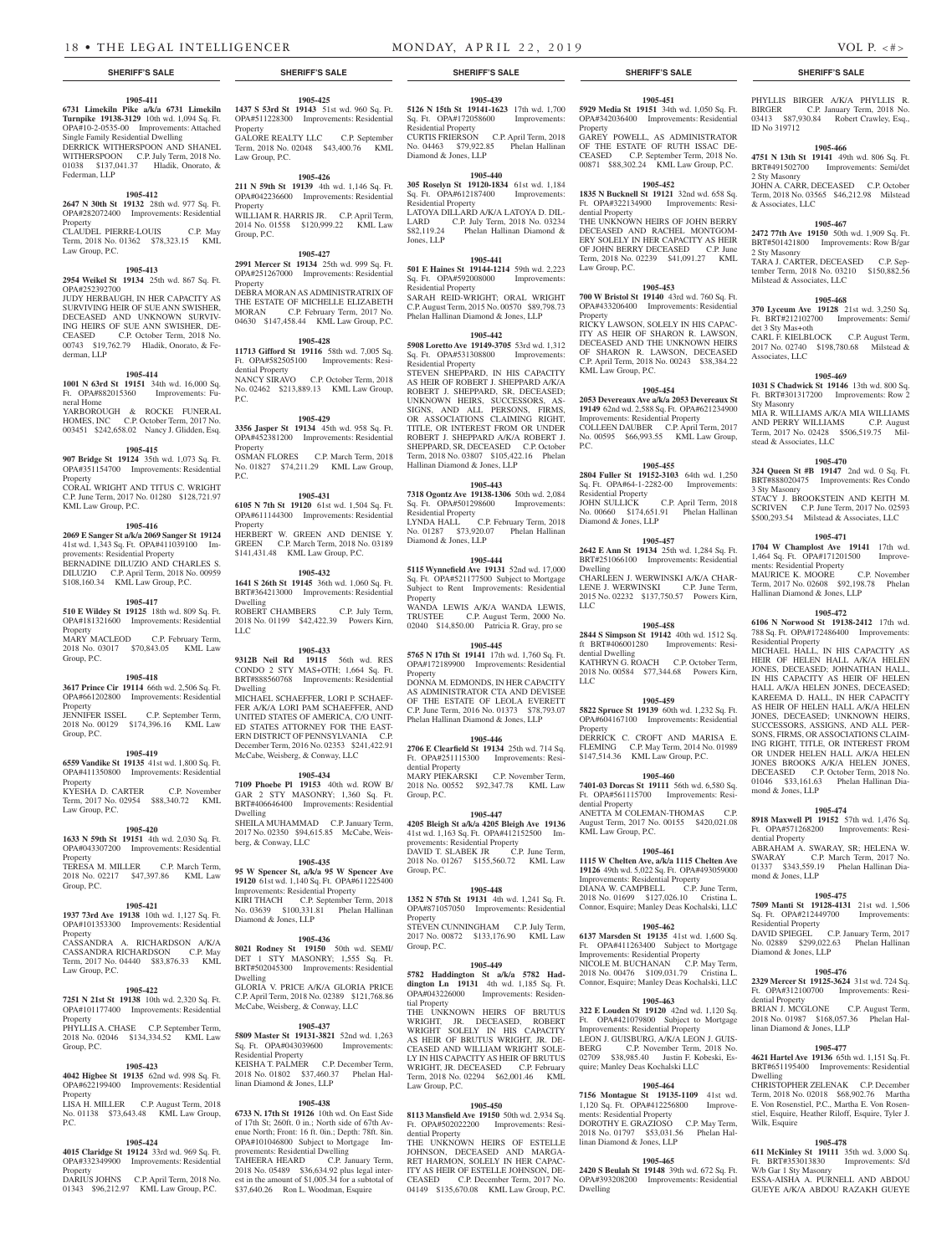**1905-411**

**Turnpike 19138-3129** 10th wd. 1,094 Sq. Ft. OPA#10-2-0535-00 Improvements: Attached Single Family Residential Dwelling DERRICK WITHERSPOON AND SHANEL WITHERSPOON C.P. July Term, 2018 No. 01038 \$137,041.37 Hladik, Onorato, &

**1905-412 2647 N 30th St 19132** 28th wd. 977 Sq. Ft. OPA#282072400 Improvements: Residential

CLAUDEL PIERRE-LOUIS C.P. May Term, 2018 No. 01362 \$78,323.15 KML

**1905-413 2954 Weikel St 19134** 25th wd. 867 Sq. Ft.

JUDY HERBAUGH, IN HER CAPACITY AS SURVIVING HEIR OF SUE ANN SWISHER, DECEASED AND UNKNOWN SURVIV-ING HEIRS OF SUE ANN SWISHER, DE-CEASED C.P. October Term, 2018 No. 00743 \$19,762.79 Hladik, Onorato, & Fe-

**1905-414 1001 N 63rd St 19151** 34th wd. 16,000 Sq. Ft. OPA#882015360 Improvements: Fu-

YARBOROUGH & ROCKE FUNERAL HOMES, INC C.P. October Term, 2017 No. 003451 \$242,658.02 Nancy J. Glidden, Esq. **1905-415 907 Bridge St 19124** 35th wd. 1,073 Sq. Ft. OPA#351154700 Improvements: Residential

CORAL WRIGHT AND TITUS C. WRIGHT C.P. June Term, 2017 No. 01280 \$128,721.97

**1905-416 2069 E Sanger St a/k/a 2069 Sanger St 19124**  41st wd. 1,343 Sq. Ft. OPA#411039100 Im-

BERNADINE DILUZIO AND CHARLES S. DILUZIO C.P. April Term, 2018 No. 00959 \$108,160.34 KML Law Group, P.C. **1905-417 510 E Wildey St 19125** 18th wd. 809 Sq. Ft. OPA#181321600 Improvements: Residential

MARY MACLEOD C.P. February Term, 2018 No. 03017 \$70,843.05 KML Law

**1905-418 3617 Prince Cir 19114** 66th wd. 2,506 Sq. Ft. OPA#661202800 Improvements: Residential

JENNIFER ISSEL C.P. September Term, 2018 No. 00129 \$174,396.16 KML Law

**1905-419 6559 Vandike St 19135** 41st wd. 1,800 Sq. Ft.

Federman, LLP

Law Group, P.C.

OPA#252392700

derman, LLP

neral Home

Property

Property

**Property** 

Group, P.C.

Group, P.C.

KML Law Group, P.C.

provements: Residential Property

Property

**1905-439**

Sq. Ft. OPA#172058600 Improvements:

CURTIS FRIERSON C.P. April Term, 2018 No. 04463 \$79,922.85 Phelan Hallinan

**1905-440 305 Roselyn St 19120-1834** 61st wd. 1,184

LATOYA DILLARD A/K/A LATOYA D. DIL-LARD C.P. July Term, 2018 No. 03234 \$82,119.24 Phelan Hallinan Diamond &

**1905-441 501 E Haines St 19144-1214** 59th wd. 2,223 Sq. Ft. OPA#592008000 Improvements:

SARAH REID-WRIGHT; ORAL WRIGHT C.P. August Term, 2015 No. 00570 \$89,798.73 Phelan Hallinan Diamond & Jones, LLP **1905-442 5908 Loretto Ave 19149-3705** 53rd wd. 1,312 Sq. Ft. OPA#531308800 Improvements:

STEVEN SHEPPARD. IN HIS CAPACITY AS HEIR OF ROBERT J. SHEPPARD A/K/A ROBERT J. SHEPPARD, SR, DECEASED; UNKNOWN HEIRS, SUCCESSORS, AS-SIGNS, AND ALL PERSONS, FIRMS, OR ASSOCIATIONS CLAIMING RIGHT, TITLE, OR INTEREST FROM OR UNDER ROBERT J. SHEPPARD A/K/A ROBERT J. SHEPPARD, SR, DECEASED C.P. October Term, 2018 No. 03807 \$105,422.16 Phelan

**1905-443 7318 Ogontz Ave 19138-1306** 50th wd. 2,084 Sq. Ft. OPA#501298600 Improvements: Residential Property LYNDA HALL C.P. February Term, 2018 No. 01287 \$73,920.07 Phelan Hallinan Diamond & Jones, LLP

**1905-444 5115 Wynnefield Ave 19131** 52nd wd. 17,000 Sq. Ft. OPA#521177500 Subject to Mortgage Subject to Rent Improvements: Residential

WANDA LEWIS A/K/A WANDA LEWIS, TRUSTEE C.P. August Term, 2000 No. 02040 \$14,850.00 Patricia R. Gray, pro se **1905-445 5765 N 17th St 19141** 17th wd. 1,760 Sq. Ft. OPA#172189900 Improvements: Residential

DONNA M. EDMONDS, IN HER CAPACITY AS ADMINISTRATOR CTA AND DEVISEE OF THE ESTATE OF LEOLA EVERETT C.P. June Term, 2016 No. 01373 \$78,793.07 Phelan Hallinan Diamond & Jones, LLP **1905-446 2706 E Clearfield St 19134** 25th wd. 714 Sq. Ft. OPA#251115300 Improvements: Resi-

MARY PIEKARSKI C.P. November Term, 2018 No. 00552 \$92,347.78 KML Law

**1905-447 4205 Bleigh St a/k/a 4205 Bleigh Ave 19136**  41st wd. 1,163 Sq. Ft. OPA#412152500 Im-

DAVID T. SLABEK JR C.P. June Term, 2018 No. 01267 \$155,560.72 KML Law

**1905-448 1352 N 57th St 19131** 4th wd. 1,241 Sq. Ft. OPA#871057050 Improvements: Residential

STEVEN CUNNINGHAM C.P. July Term, 2017 No. 00872 \$133,176.90 KML Law

**1905-449 5782 Haddington St a/k/a 5782 Had-dington Ln 19131** 4th wd. 1,185 Sq. Ft. OPA#043226000 Improvements: Residen-

THE UNKNOWN HEIRS OF BRUTUS WRIGHT, JR. DECEASED, ROBERT WRIGHT SOLELY IN HIS CAPACITY AS HEIR OF BRUTUS WRIGHT, JR. DE-CEASED AND WILLIAM WRIGHT SOLE-LY IN HIS CAPACITY AS HEIR OF BRUTUS WRIGHT, JR. DECEASED C.P. February Term, 2018 No. 02294 \$62,001.46 KML

**1905-450 8113 Mansfield Ave 19150** 50th wd. 2,934 Sq. Ft. OPA#502022200 Improvements: Resi-

THE UNKNOWN HEIRS OF ESTELLE JOHNSON, DECEASED AND MARGA-RET HARMON, SOLELY IN HER CAPAC-ITY AS HEIR OF ESTELLE JOHNSON, DE-CEASED C.P. December Term, 2017 No. 04149 \$135,670.08 KML Law Group, P.C.

provements: Residential Property

Residential Property

Diamond & Jones, LLP

Sq. Ft. OPA#612187400 Residential Property

 $Sq.$  Ft. OPA#592008000 Residential Property

Residential Property

**Property** 

Property

dential Property

Group, P.C.

Group, P.C.

Property

Group, P.C.

tial Property

Law Group, P.C.

dential Property

Hallinan Diamond & Jones, LLP

Jones, LLP

**6731 Limekiln Pike a/k/a 6731 Limekiln 1437 S 53rd St 19143** 51st wd. 960 Sq. Ft. OPA#511228300 Improvements: Residential Property GALORE REALTY LLC C.P. September Term, 2018 No. 02048 \$43,400.76 KML Law Group, P.C.

**211 N 59th St 19139** 4th wd. 1,146 Sq. Ft. OPA#042236600 Improvements: Residential Property WILLIAM R. HARRIS JR. C.P. April Term,

**2991 Mercer St 19134** 25th wd. 999 Sq. Ft. OPA#251267000 Improvements: Residential Property DEBRA MORAN AS ADMINISTRATRIX OF THE ESTATE OF MICHELLE ELIZABETH

MORAN C.P. February Term, 2017 No. 04630 \$147,458.44 KML Law Group, P.C. **1905-428**

# dential Property

**1905-429**

Property OSMAN FLORES C.P. March Term, 2018 No. 01827 \$74,211.29 KML Law Group,

**6105 N 7th St 19120** 61st wd. 1,504 Sq. Ft. OPA#611144300 Improvements: Residential **Property** HERBERT W. GREEN AND DENISE Y. GREEN C.P. March Term, 2018 No. 03189 \$141,431.48 KML Law Group, P.C.

#### **1905-432**

BRT#364213000 Improvements: Residential Dwelling ROBERT CHAMBERS C.P. July Term, 2018 No. 01199 \$42,422.39 Powers Kirn, LLC

CONDO 2 STY MAS+OTH; 1,664 Sq. Ft. BRT#888560768 Improvements: Residential Dwelling MICHAEL SCHAEFFER, LORI P. SCHAEF-FER A/K/A LORI PAM SCHAEFFER, AND UNITED STATES OF AMERICA, C/O UNIT-ED STATES ATTORNEY FOR THE EAST-ERN DISTRICT OF PENNSYLVANIA C.P. December Term, 2016 No. 02353 \$241,422.91

McCabe, Weisberg, & Conway, LLC

OPA#411350800 Improvements: Residential Property KYESHA D. CARTER C.P. November

Term, 2017 No. 02954 \$88,340.72 KML Law Group, P.C.

#### **1905-420 1633 N 59th St 19151** 4th wd. 2,030 Sq. Ft.

OPA#043307200 Improvements: Residential Property TERESA M. MILLER C.P. March Term,

2018 No. 02217 \$47,397.86 KML Law Group, P.C.

#### **1905-421**

**1937 73rd Ave 19138** 10th wd. 1,127 Sq. Ft. OPA#101353300 Improvements: Residential Property CASSANDRA A. RICHARDSON A/K/A CASSANDRA RICHARDSON C.P. May

Term, 2017 No. 04440 \$83,876.33 KML Law Group, P.C.

#### **1905-422 7251 N 21st St 19138** 10th wd. 2,320 Sq. Ft.

Group, P.C.

OPA#101177400 Improvements: Residential Property PHYLLIS A. CHASE C.P. September Term, 2018 No. 02046 \$134,334.52 KML Law

#### **1905-423**

**4042 Higbee St 19135** 62nd wd. 998 Sq. Ft. OPA#622199400 Improvements: Residential Property LISA H. MILLER C.P. August Term, 2018 No. 01138 \$73,643.48 KML Law Group, P.C.

#### **1905-424**

**4015 Claridge St 19124** 33rd wd. 969 Sq. Ft. OPA#332349900 Improvements: Residential Property DARIUS JOHNS C.P. April Term, 2018 No. 01343 \$96,212.97 KML Law Group, P.C.

#### **1905-425 5126 N 15th St 19141-1623** 17th wd. 1,700

#### **1905-426**

2014 No. 01558 \$120,999.22 KML Law Group, P.C.

## **1905-427**

**11713 Gifford St 19116** 58th wd. 7,005 Sq. Ft. OPA#582505100 Improvements: Resi-NANCY SIRAVO C.P. October Term, 2018 No. 02462 \$213,889.13 KML Law Group, P.C.

**3356 Jasper St 19134** 45th wd. 958 Sq. Ft. OPA#452381200 Improvements: Residential P.C.

#### **1905-431**

**1641 S 26th St 19145** 36th wd. 1,060 Sq. Ft.

#### **1905-433**

**9312B Neil Rd 19115** 56th wd. RES

**1905-434 7109 Phoebe Pl 19153** 40th wd. ROW B/ GAR 2 STY MASONRY; 1,360 Sq. Ft. BRT#406646400 Improvements: Residential Dwelling SHEILA MUHAMMAD C.P. January Term, 2017 No. 02350 \$94,615.85 McCabe, Weisberg, & Conway, LLC

#### **1905-435**

**95 W Spencer St, a/k/a 95 W Spencer Ave 19120** 61st wd. 1,140 Sq. Ft. OPA#611225400 Improvements: Residential Property KIRI THACH C.P. September Term, 2018 No. 03639 \$100,331.81 Phelan Hallinan Diamond & Jones, LLP

#### **1905-436**

**8021 Rodney St 19150** 50th wd. SEMI/ DET 1 STY MASONRY; 1,555 Sq. Ft. BRT#502045300 Improvements: Residential Dwelling GLORIA V. PRICE A/K/A GLORIA PRICE C.P. April Term, 2018 No. 02389 \$121,768.86 McCabe, Weisberg, & Conway, LLC

#### **1905-437**

**5809 Master St 19131-3821** 52nd wd. 1,263 Sq. Ft. OPA#043039600 Improveme Residential Property KEISHA T. PALMER C.P. December Term, 2018 No. 01802 \$37,460.37 Phelan Hallinan Diamond & Jones, LLP

#### **1905-438**

**6733 N. 17th St 19126** 10th wd. On East Side of 17th St; 260ft. 0 in.; North side of 67th Avenue North; Front: 16 ft. 0in.; Depth: 78ft. 8in. OPA#101046800 Subject to Mortgage Improvements: Residential Dwelling TAHEERA HEARD C.P. January Term, 2018 No. 05489 \$36,634.92 plus legal interest in the amount of \$1,005.34 for a subtotal of \$37,640.26 Ron L. Woodman, Esquire

#### **1905-451**

**5929 Media St 19151** 34th wd. 1,050 Sq. Ft. OPA#342036400 Improvements: Residential Property GAREY POWELL, AS ADMINISTRATOR OF THE ESTATE OF RUTH ISSAC DE-CEASED C.P. September Term, 2018 No. 00871 \$88,302.24 KML Law Group, P.C.

#### **1905-452**

**1835 N Bucknell St 19121** 32nd wd. 658 Sq. Ft. OPA#322134900 Improvements: Residential Property THE UNKNOWN HEIRS OF JOHN BERRY DECEASED AND RACHEL MONTGOM-ERY SOLELY IN HER CAPACITY AS HEIR OF JOHN BERRY DECEASED C.P. June Term, 2018 No. 02239 \$41,091.27 KML Law Group, P.C.

#### **1905-453**

**700 W Bristol St 19140** 43rd wd. 760 Sq. Ft. OPA#433206400 Improvements: Residential Property RICKY LAWSON, SOLELY IN HIS CAPAC-ITY AS HEIR OF SHARON R. LAWSON, DECEASED AND THE UNKNOWN HEIRS OF SHARON R. LAWSON, DECEASED

C.P. April Term, 2018 No. 00243 \$38,384.22 KML Law Group, P.C. **1905-454**

**2053 Devereaux Ave a/k/a 2053 Devereaux St 19149** 62nd wd. 2,588 Sq. Ft. OPA#621234900 Improvements: Residential Property COLLEEN DAUBER C.P. April Term, 2017 No. 00595 \$66,993.55 KML Law Group, P.C.

#### **1905-455 2804 Fuller St 19152-3103** 64th wd. 1,250

Sq. Ft. OPA#64-1-2282-00 Improvements: Residential Property JOHN SULLICK C.P. April Term, 2018 No. 00660 \$174,651.91 Phelan Hallinan Diamond & Jones, LLP

#### **1905-457**

**2642 E Ann St 19134** 25th wd. 1,284 Sq. Ft. BRT#251066100 Improvements: Residential Dwelling

CHARLEEN J. WERWINSKI A/K/A CHAR-LENE J. WERWINSKI C.P. June Term, 2015 No. 02232 \$137,750.57 Powers Kirn, LLC

#### **1905-458 2844 S Simpson St 19142** 40th wd. 1512 Sq.

ft BRT#406001280 Improvements: Residential Dwelling KATHRYN G. ROACH C.P. October Term, 2018 No. 00584 \$77,344.68 Powers Kirn, LLC

## **1905-459**

**5822 Spruce St 19139** 60th wd. 1,232 Sq. Ft. OPA#604167100 Improvements: Residential Property

DERRICK C. CROFT AND MARISA E. FLEMING C.P. May Term, 2014 No. 01989 \$147,514.36 KML Law Group, P.C.

#### **1905-460**

**7401-03 Dorcas St 19111** 56th wd. 6,580 Sq. Ft. OPA#561115700 Improvements: Residential Property ANETTA M COLEMAN-THOMAS C.P.

August Term, 2017 No. 00155 \$420,021.08 KML Law Group, P.C.

## **1905-461**

**1115 W Chelten Ave, a/k/a 1115 Chelten Ave 19126** 49th wd. 5,022 Sq. Ft. OPA#493059000 Improvements: Residential Property

DIANA W. CAMPBELL C.P. June Term, 2018 No. 01699 \$127,026.10 Cristina L. Connor, Esquire; Manley Deas Kochalski, LLC

#### **1905-462**

**6137 Marsden St 19135** 41st wd. 1,600 Sq. Ft. OPA#411263400 Subject to Mortgage Improvements: Residential Property NICOLE M. BUCHANAN C.P. May Term, 2018 No. 00476 \$109,031.79 Cristina L. Connor, Esquire; Manley Deas Kochalski, LLC

#### **1905-463**

**322 E Louden St 19120** 42nd wd. 1,120 Sq. Ft. OPA#421079800 Subject to Mortgage Improvements: Residential Property LEON J. GUISBURG, A/K/A LEON J. GUIS-BERG C.P. November Term, 2018 No. 02709 \$38,985.40 Justin F. Kobeski, Esquire; Manley Deas Kochalski LLC

## **1905-464 7156 Montague St 19135-1109** 41st wd.

1,120 Sq. Ft. OPA#412256800 Improvements: Residential Property DOROTHY E. GRAZIOSO C.P. May Term, 2018 No. 01797 \$53,031.56 Phelan Hal-linan Diamond & Jones, LLP

#### **1905-465**

**2420 S Beulah St 19148** 39th wd. 672 Sq. Ft. OPA#393208200 Improvements: Residential Dwelling

#### **SHERIFF'S SALE SHERIFF'S SALE SHERIFF'S SALE SHERIFF'S SALE SHERIFF'S SALE**

PHYLLIS BIRGER A/K/A PHYLLIS R. BIRGER C.P. January Term, 2018 No. 03413 \$87,930.84 Robert Crawley, Esq., ID No 319712

#### **1905-466**

**4751 N 13th St 19141** 49th wd. 806 Sq. Ft. BRT#491502700 Improvements: Semi/det 2 Sty Masonry JOHN A. CARR, DECEASED C.P. October Term, 2018 No. 03565 \$46,212.98 Milstead

#### **1905-467**

& Associates, LLC

det 3 Sty Mas+oth

Associates, LLC

Sty Masonry

3 Sty Masonry

stead & Associates, LLC

ments: Residential Property

Residential Property

mond & Jones, LLP

dential Property

mond & Jones, LLP

Residential Property

dential Property

Dwelling

Wilk, Esquire

W/b Gar 1 Sty Masonry

Diamond & Jones, LLP

linan Diamond & Jones, LLP

Hallinan Diamond & Jones, LLP

**2472 77th Ave 19150** 50th wd. 1,909 Sq. Ft. BRT#501421800 Improvements: Row B/gar 2 Sty Masonry TARA J. CARTER, DECEASED tember Term, 2018 No. 03210 \$150,882.56 Milstead & Associates, LLC

#### **1905-468 370 Lyceum Ave 19128** 21st wd. 3,250 Sq.

Ft. BRT#212102700 Improvements: Semi/

CARL F. KIELBLOCK C.P. August Term, 2017 No. 02740 \$198,780.68 Milstead &

**1905-469 1031 S Chadwick St 19146** 13th wd. 800 Sq. Ft. BRT#301317200 Improvements: Row 2

MIA R. WILLIAMS A/K/A MIA WILLIAMS AND PERRY WILLIAMS C.P. August Term, 2017 No. 02428 \$506,519.75 Mil-

**1905-470 324 Queen St #B 19147** 2nd wd. 0 Sq. Ft. BRT#888020475 Improvements: Res Condo

STACY J. BROOKSTEIN AND KEITH M. SCRIVEN C.P. June Term, 2017 No. 02593 \$500,293.54 Milstead & Associates, LLC **1905-471 1704 W Champlost Ave 19141** 17th wd. 1,464 Sq. Ft. OPA#171201500 Improve-

MAURICE K. MOORE C.P. November MAURICE K. MOORE<br>Term, 2017 No. 02608 \$92,198.78 Phelan

**1905-472 6106 N Norwood St 19138-2412** 17th wd. 788 Sq. Ft. OPA#172486400 Improvements:

MICHAEL HALL, IN HIS CAPACITY AS HEIR OF HELEN HALL A/K/A HELEN JONES, DECEASED; JOHNATHAN HALL, IN HIS CAPACITY AS HEIR OF HELEN HALL A/K/A HELEN JONES, DECEASED; KAREEMA D. HALL, IN HER CAPACITY AS HEIR OF HELEN HALL A/K/A HELEN JONES, DECEASED; UNKNOWN HEIRS, SUCCESSORS, ASSIGNS, AND ALL PER-SONS, FIRMS, OR ASSOCIATIONS CLAIM-ING RIGHT, TITLE, OR INTEREST FROM OR UNDER HELEN HALL A/K/A HELEN JONES BROOKS A/K/A HELEN JONES, DECEASED C.P. October Term, 2018 No. 01046 \$33,161.63 Phelan Hallinan Dia-

**1905-474 8918 Maxwell Pl 19152** 57th wd. 1,476 Sq. Ft. OPA#571268200 Improvements: Resi-

ABRAHAM A. SWARAY, SR; HELENA W. SWARAY C.P. March Term, 2017 No. 01337 \$343,559.19 Phelan Hallinan Dia-

**1905-475 7509 Manti St 19128-4131** 21st wd. 1,506 Sq. Ft. OPA#212449700 Improvements:

DAVID SPIEGEL C.P. January Term, 2017 No. 02889 \$299,022.63 Phelan Hallinan

**1905-476 2329 Mercer St 19125-3624** 31st wd. 724 Sq. Ft. OPA#312100700 Improvements: Resi-

BRIAN J. MCGLONE C.P. August Term, 2018 No. 01987 \$168,057.36 Phelan Hal-

**1905-477 4621 Hartel Ave 19136** 65th wd. 1,151 Sq. Ft. BRT#651195400 Improvements: Residential

CHRISTOPHER ZELENAK C.P. December Term, 2018 No. 02018 \$68,902.76 Martha E. Von Rosenstiel, P.C., Martha E. Von Rosenstiel, Esquire, Heather Riloff, Esquire, Tyler J.

**1905-478 611 McKinley St 19111** 35th wd. 3,000 Sq. Ft. BRT#353013830 Improvements: S/d

ESSA-AISHA A. PURNELL AND ABDOU GUEYE A/K/A ABDOU RAZAKH GUEYE